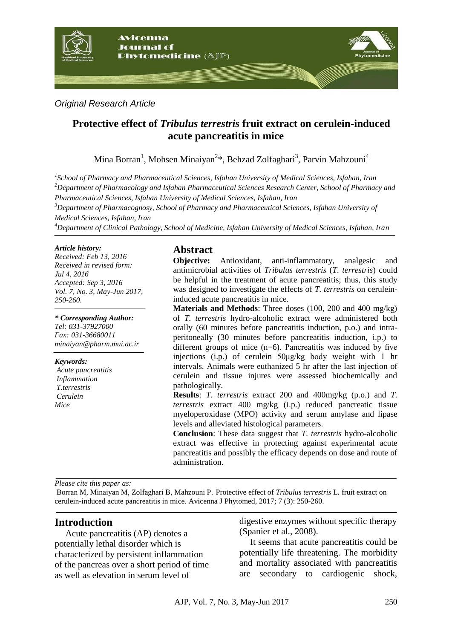

*Original Research Article*

# **Protective effect of** *Tribulus terrestris* **fruit extract on cerulein-induced acute pancreatitis in mice**

Mina Borran<sup>1</sup>, Mohsen Minaiyan<sup>2</sup>\*, Behzad Zolfaghari<sup>3</sup>, Parvin Mahzouni<sup>4</sup>

*1 School of Pharmacy and Pharmaceutical Sciences, Isfahan University of Medical Sciences, Isfahan, Iran <sup>2</sup>Department of Pharmacology and Isfahan Pharmaceutical Sciences Research Center, School of Pharmacy and Pharmaceutical Sciences, Isfahan University of Medical Sciences, Isfahan, Iran*

*<sup>3</sup>Department of Pharmacognosy, School of Pharmacy and Pharmaceutical Sciences, Isfahan University of Medical Sciences, Isfahan, Iran* 

*<sup>4</sup>Department of Clinical Pathology, School of Medicine, Isfahan University of Medical Sciences, Isfahan, Iran*

#### *Article history:*

*Received: Feb 13, 2016 Received in revised form: Jul 4, 2016 Accepted: Sep 3, 2016 Vol. 7, No. 3, May-Jun 2017, 250-260.*

*\* Corresponding Author: Tel: 031-37927000 Fax: 031-36680011*

*minaiyan@pharm.mui.ac.ir*

*Keywords:* 

*Acute pancreatitis Inflammation T.terrestris Cerulein Mice*

## **Abstract**

**Objective:** Antioxidant, anti-inflammatory, analgesic and antimicrobial activities of *Tribulus terrestris* (*T. terrestris*) could be helpful in the treatment of acute pancreatitis; thus, this study was designed to investigate the effects of *T. terrestris* on ceruleininduced acute pancreatitis in mice.

**Materials and Methods**: Three doses (100, 200 and 400 mg/kg) of *T. terrestris* hydro-alcoholic extract were administered both orally (60 minutes before pancreatitis induction, p.o.) and intraperitoneally (30 minutes before pancreatitis induction, i.p.) to different groups of mice  $(n=6)$ . Pancreatitis was induced by five injections (i.p.) of cerulein 50μg/kg body weight with 1 hr intervals. Animals were euthanized 5 hr after the last injection of cerulein and tissue injures were assessed biochemically and pathologically.

**Results**: *T. terrestris* extract 200 and 400mg/kg (p.o.) and *T. terrestris* extract 400 mg/kg (i.p.) reduced pancreatic tissue myeloperoxidase (MPO) activity and serum amylase and lipase levels and alleviated histological parameters.

**Conclusion**: These data suggest that *T. terrestris* hydro-alcoholic extract was effective in protecting against experimental acute pancreatitis and possibly the efficacy depends on dose and route of administration.

*Please cite this paper as:* 

Borran M, Minaiyan M, Zolfaghari B, Mahzouni P. Protective effect of *Tribulus terrestris* L*.* fruit extract on cerulein-induced acute pancreatitis in mice. Avicenna J Phytomed, 2017; 7 (3): 250-260.

## **Introduction**

Acute pancreatitis (AP) denotes a potentially lethal disorder which is characterized by persistent inflammation of the pancreas over a short period of time as well as elevation in serum level of

digestive enzymes without specific therapy (Spanier et al., 2008).

It seems that acute pancreatitis could be potentially life threatening. The morbidity and mortality associated with pancreatitis are secondary to cardiogenic shock,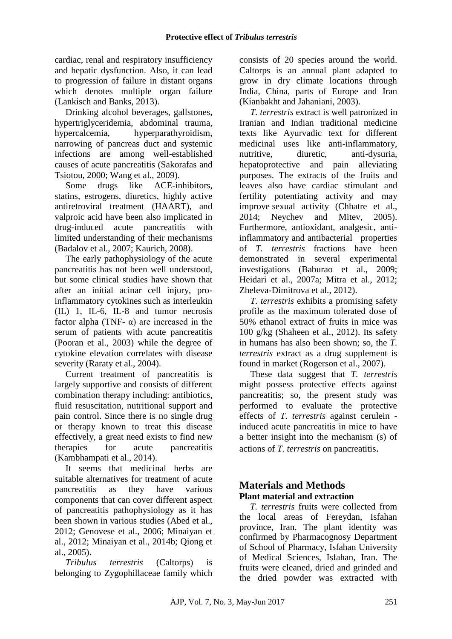cardiac, renal and respiratory insufficiency and hepatic dysfunction. Also, it can lead to progression of failure in distant organs which denotes multiple organ failure (Lankisch and Banks, 2013).

Drinking alcohol beverages, gallstones, hypertriglyceridemia, abdominal trauma, hypercalcemia, hyperparathyroidism, narrowing of pancreas duct and systemic infections are among well-established causes of acute pancreatitis (Sakorafas and Tsiotou, 2000; Wang et al., 2009).

Some drugs like ACE-inhibitors, statins, estrogens, diuretics, highly active antiretroviral treatment (HAART), and valproic acid have been also implicated in drug-induced acute pancreatitis with limited understanding of their mechanisms (Badalov et al., 2007; Kaurich, 2008).

The early pathophysiology of the acute pancreatitis has not been well understood, but some clinical studies have shown that after an initial acinar cell injury, proinflammatory cytokines such as interleukin (IL) 1, IL-6, IL-8 and tumor necrosis factor alpha (TNF- $\alpha$ ) are increased in the serum of patients with acute pancreatitis (Pooran et al., 2003) while the degree of cytokine elevation correlates with disease severity (Raraty et al., 2004).

Current treatment of pancreatitis is largely supportive and consists of different combination therapy including: antibiotics, fluid resuscitation, nutritional support and pain control. Since there is no single drug or therapy known to treat this disease effectively, a great need exists to find new therapies for acute pancreatitis (Kambhampati et al., 2014).

It seems that medicinal herbs are suitable alternatives for treatment of acute pancreatitis as they have various components that can cover different aspect of pancreatitis pathophysiology as it has been shown in various studies (Abed et al., 2012; Genovese et al., 2006; Minaiyan et al., 2012; Minaiyan et al., 2014b; Qiong et al., 2005).

*Tribulus terrestris* (Caltorps) is belonging to Zygophillaceae family which

consists of 20 species around the world. Caltorps is an annual plant adapted to grow in dry climate locations through India, China, parts of Europe and Iran (Kianbakht and Jahaniani, 2003).

*T. terrestris* extract is well patronized in Iranian and Indian traditional medicine texts like Ayurvadic text for different medicinal uses like anti-inflammatory, nutritive, diuretic, anti-dysuria, hepatoprotective and pain alleviating purposes. The extracts of the fruits and leaves also have cardiac stimulant and fertility potentiating activity and may improve sexual activity (Chhatre et al., 2014; Neychev and Mitev, 2005). Furthermore, antioxidant, analgesic, antiinflammatory and antibacterial properties of *T. terrestris* fractions have been demonstrated in several experimental investigations (Baburao et al., 2009; Heidari et al., 2007a; Mitra et al., 2012; Zheleva-Dimitrova et al., 2012).

*T. terrestris* exhibits a promising safety profile as the maximum tolerated dose of 50% ethanol extract of fruits in mice was 100 g/kg (Shaheen et al., 2012). Its safety in humans has also been shown; so, the *T. terrestris* extract as a drug supplement is found in market (Rogerson et al., 2007).

These data suggest that *T. terrestris* might possess protective effects against pancreatitis; so, the present study was performed to evaluate the protective effects of *T. terrestris* against cerulein induced acute pancreatitis in mice to have a better insight into the mechanism (s) of actions of *T. terrestris* on pancreatitis.

## **Materials and Methods Plant material and extraction**

*T. terrestris* fruits were collected from the local areas of Fereydan, Isfahan province, Iran. The plant identity was confirmed by Pharmacognosy Department of School of Pharmacy, Isfahan University of Medical Sciences, Isfahan, Iran. The fruits were cleaned, dried and grinded and the dried powder was extracted with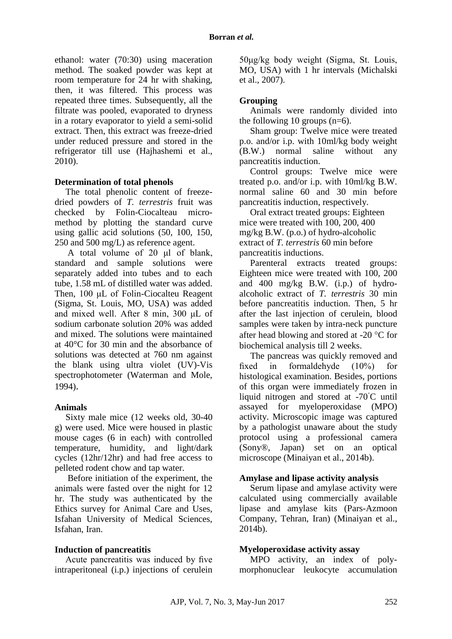ethanol: water (70:30) using maceration method. The soaked powder was kept at room temperature for 24 hr with shaking, then, it was filtered. This process was repeated three times. Subsequently, all the filtrate was pooled, evaporated to dryness in a rotary evaporator to yield a semi-solid extract. Then, this extract was freeze-dried under reduced pressure and stored in the refrigerator till use (Hajhashemi et al., 2010).

#### **Determination of total phenols**

The total phenolic content of freezedried powders of *T. terrestris* fruit was checked by Folin-Ciocalteau micromethod by plotting the standard curve using gallic acid solutions (50, 100, 150, 250 and 500 mg/L) as reference agent.

A total volume of 20 μl of blank, standard and sample solutions were separately added into tubes and to each tube, 1.58 mL of distilled water was added. Then, 100 μL of Folin-Ciocalteu Reagent (Sigma, St. Louis, MO, USA) was added and mixed well. After 8 min, 300 μL of sodium carbonate solution 20% was added and mixed. The solutions were maintained at 40°C for 30 min and the absorbance of solutions was detected at 760 nm against the blank using ultra violet (UV)-Vis spectrophotometer (Waterman and Mole, 1994).

#### **Animals**

Sixty male mice (12 weeks old, 30-40 g) were used. Mice were housed in plastic mouse cages (6 in each) with controlled temperature, humidity, and light/dark cycles (12hr/12hr) and had free access to pelleted rodent chow and tap water.

Before initiation of the experiment, the animals were fasted over the night for 12 hr. The study was authenticated by the Ethics survey for Animal Care and Uses, Isfahan University of Medical Sciences, Isfahan, Iran.

## **Induction of pancreatitis**

Acute pancreatitis was induced by five intraperitoneal (i.p.) injections of cerulein 50μg/kg body weight (Sigma, St. Louis, MO, USA) with 1 hr intervals (Michalski et al., 2007).

### **Grouping**

Animals were randomly divided into the following 10 groups  $(n=6)$ .

Sham group: Twelve mice were treated p.o. and/or i.p. with 10ml/kg body weight (B.W.) normal saline without any pancreatitis induction.

Control groups: Twelve mice were treated p.o. and/or i.p. with 10ml/kg B.W. normal saline 60 and 30 min before pancreatitis induction, respectively.

Oral extract treated groups: Eighteen mice were treated with 100, 200, 400 mg/kg B.W. (p.o.) of hydro-alcoholic extract of *T. terrestris* 60 min before pancreatitis inductions.

Parenteral extracts treated groups: Eighteen mice were treated with 100, 200 and 400 mg/kg B.W. (i.p.) of hydroalcoholic extract of *T. terrestris* 30 min before pancreatitis induction. Then, 5 hr after the last injection of cerulein, blood samples were taken by intra-neck puncture after head blowing and stored at -20  $^{\circ}$ C for biochemical analysis till 2 weeks.

The pancreas was quickly removed and fixed in formaldehyde (10%) for histological examination. Besides, portions of this organ were immediately frozen in liquid nitrogen and stored at -70◦C until assayed for myeloperoxidase (MPO) activity. Microscopic image was captured by a pathologist unaware about the study protocol using a professional camera (Sony®, Japan) set on an optical microscope (Minaiyan et al., 2014b).

## **Amylase and lipase activity analysis**

Serum lipase and amylase activity were calculated using commercially available lipase and amylase kits (Pars-Azmoon Company, Tehran, Iran) (Minaiyan et al., 2014b).

## **Myeloperoxidase activity assay**

MPO activity, an index of polymorphonuclear leukocyte accumulation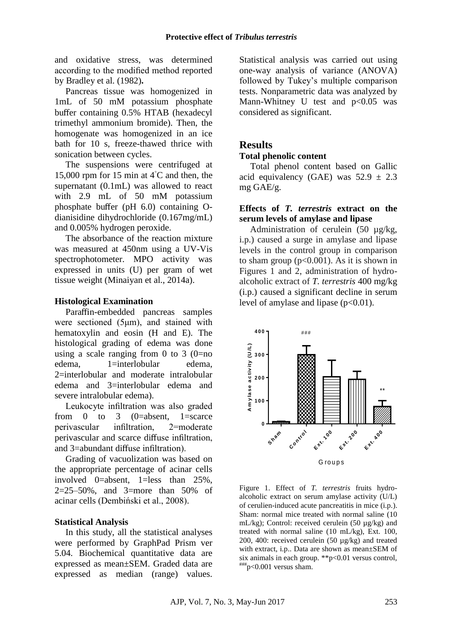and oxidative stress, was determined according to the modified method reported by Bradley et al. (1982)**.**

Pancreas tissue was homogenized in 1mL of 50 mM potassium phosphate buffer containing 0.5% HTAB (hexadecyl trimethyl ammonium bromide). Then, the homogenate was homogenized in an ice bath for 10 s, freeze-thawed thrice with sonication between cycles.

The suspensions were centrifuged at 15,000 rpm for 15 min at 4◦C and then, the supernatant (0.1mL) was allowed to react with 2.9 mL of 50 mM potassium phosphate buffer (pH 6.0) containing Odianisidine dihydrochloride (0.167mg/mL) and 0.005% hydrogen peroxide.

The absorbance of the reaction mixture was measured at 450nm using a UV-Vis spectrophotometer. MPO activity was expressed in units (U) per gram of wet tissue weight (Minaiyan et al., 2014a).

#### **Histological Examination**

Paraffin-embedded pancreas samples were sectioned (5μm), and stained with hematoxylin and eosin (H and E). The histological grading of edema was done using a scale ranging from 0 to 3  $(0=$ no edema, 1=interlobular edema, 2=interlobular and moderate intralobular edema and 3=interlobular edema and severe intralobular edema).

Leukocyte infiltration was also graded from 0 to 3  $(0=absent, 1=score)$ perivascular infiltration, 2=moderate perivascular and scarce diffuse infiltration, and 3=abundant diffuse infiltration).

Grading of vacuolization was based on the appropriate percentage of acinar cells involved 0=absent, 1=less than 25%, 2=25–50%, and 3=more than 50% of acinar cells (Dembiński et al., 2008).

#### **Statistical Analysis**

In this study, all the statistical analyses were performed by GraphPad Prism ver 5.04. Biochemical quantitative data are expressed as mean±SEM. Graded data are expressed as median (range) values.

Statistical analysis was carried out using one-way analysis of variance (ANOVA) followed by Tukey's multiple comparison tests. Nonparametric data was analyzed by Mann-Whitney U test and  $p<0.05$  was considered as significant.

## **Results**

#### **Total phenolic content**

Total phenol content based on Gallic acid equivalency (GAE) was  $52.9 \pm 2.3$ mg GAE/g.

## **Effects of** *T. terrestris* **extract on the serum levels of amylase and lipase**

Administration of cerulein (50 µg/kg, i.p.) caused a surge in amylase and lipase levels in the control group in comparison to sham group  $(p<0.001)$ . As it is shown in Figures 1 and 2, administration of hydroalcoholic extract of *T. terrestris* 400 mg/kg (i.p.) caused a significant decline in serum level of amylase and lipase  $(p<0.01)$ .



Figure 1. Effect of *T. terrestris* fruits hydroalcoholic extract on serum amylase activity (U/L) of cerulien-induced acute pancreatitis in mice (i.p.). Sham: normal mice treated with normal saline (10 mL/kg); Control: received cerulein (50 µg/kg) and treated with normal saline (10 mL/kg), Ext. 100, 200, 400: received cerulein (50 µg/kg) and treated with extract, i.p.. Data are shown as mean±SEM of six animals in each group. \*\*p<0.01 versus control,  $^{\text{#HH}}$ p<0.001 versus sham.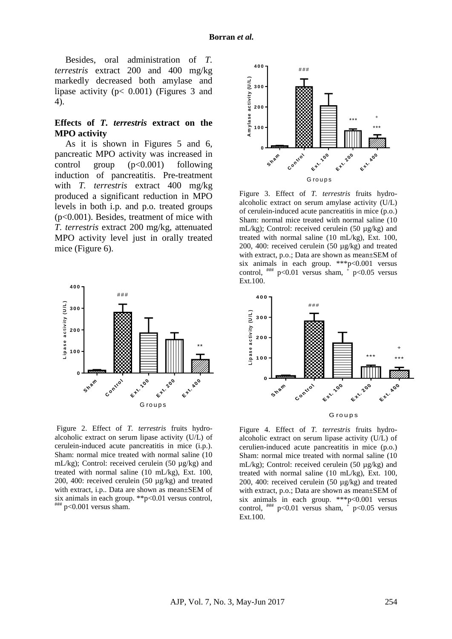Besides, oral administration of *T. terrestris* extract 200 and 400 mg/kg markedly decreased both amylase and lipase activity (p< 0.001) (Figures 3 and 4).

## **Effects of** *T. terrestris* **extract on the MPO activity**

As it is shown in Figures 5 and 6, pancreatic MPO activity was increased in control group  $(p<0.001)$  following induction of pancreatitis. Pre-treatment with *T. terrestris* extract 400 mg/kg produced a significant reduction in MPO levels in both i.p. and p.o. treated groups (p<0.001). Besides, treatment of mice with *T. terrestris* extract 200 mg/kg, attenuated MPO activity level just in orally treated mice (Figure 6).



Figure 2. Effect of *T. terrestris* fruits hydroalcoholic extract on serum lipase activity (U/L) of cerulein-induced acute pancreatitis in mice (i.p.). Sham: normal mice treated with normal saline (10 mL/kg); Control: received cerulein (50 µg/kg) and treated with normal saline (10 mL/kg), Ext. 100, 200, 400: received cerulein (50 µg/kg) and treated with extract, i.p.. Data are shown as mean±SEM of six animals in each group. \*\*p<0.01 versus control,  $^{\# \# \#}_{p < 0.001$  versus sham.

**A m y las e ac tivity (U /L )** Sham **h**  $e^{ \int \left( \int_{0}^{\sqrt{t}} \right)^{n} } e^{ \int_{0}^{\sqrt{t}}}$ **extra** 200 **<sup>x</sup> t. <sup>1</sup> <sup>0</sup> 0E <sup>x</sup> t. <sup>2</sup> <sup>0</sup> 0E <sup>x</sup> t. <sup>4</sup> <sup>0</sup> <sup>0</sup> 0 1 0 0 2 0 0 3 0 0 <sup>4</sup> <sup>0</sup> <sup>0</sup>** # # # \*\*\* \*\*\* G ro u p s +

Figure 3. Effect of *T. terrestris* fruits hydroalcoholic extract on serum amylase activity (U/L) of cerulein-induced acute pancreatitis in mice (p.o.) Sham: normal mice treated with normal saline (10 mL/kg); Control: received cerulein (50 µg/kg) and treated with normal saline (10 mL/kg), Ext. 100, 200, 400: received cerulein (50 µg/kg) and treated with extract, p.o.; Data are shown as mean±SEM of six animals in each group. \*\*\*p<0.001 versus control,  $\frac{m}{2}$  p<0.01 versus sham,  $\frac{1}{2}$  p<0.05 versus Ext.100.



G ro u p s

Figure 4. Effect of *T. terrestris* fruits hydroalcoholic extract on serum lipase activity (U/L) of cerulien-induced acute pancreatitis in mice (p.o.) Sham: normal mice treated with normal saline (10 mL/kg); Control: received cerulein (50 µg/kg) and treated with normal saline (10 mL/kg), Ext. 100, 200, 400: received cerulein (50 µg/kg) and treated with extract, p.o.; Data are shown as mean±SEM of six animals in each group. \*\*\*p<0.001 versus control,  $^{\# \#}$  p<0.01 versus sham,  $^{+}$  p<0.05 versus Ext.100.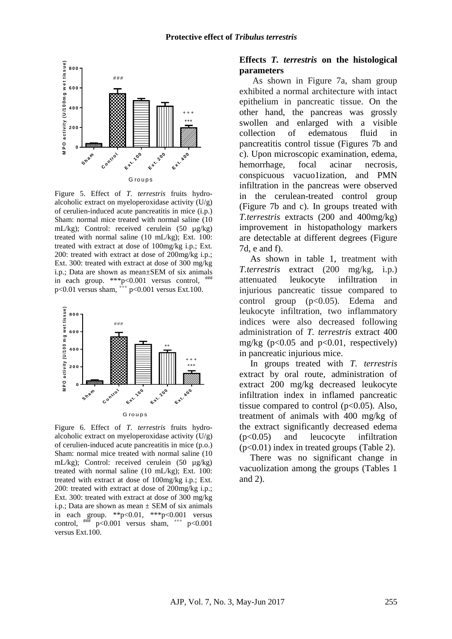

Figure 5. Effect of *T. terrestris* fruits hydroalcoholic extract on myeloperoxidase activity  $(U/g)$ of cerulien-induced acute pancreatitis in mice (i.p.) Sham: normal mice treated with normal saline (10 mL/kg); Control: received cerulein (50 µg/kg) treated with normal saline (10 mL/kg); Ext. 100: treated with extract at dose of 100mg/kg i.p.; Ext. 200: treated with extract at dose of 200mg/kg i.p.; Ext. 300: treated with extract at dose of 300 mg/kg i.p.; Data are shown as mean±SEM of six animals in each group.  $**p<0.001$  versus control,  $***p<0.001$  $p<0.01$  versus sham,  $+$   $p<0.001$  versus Ext.100.



Figure 6. Effect of *T. terrestris* fruits hydroalcoholic extract on myeloperoxidase activity  $(U/g)$ of cerulien-induced acute pancreatitis in mice (p.o.) Sham: normal mice treated with normal saline (10 mL/kg); Control: received cerulein (50 µg/kg) treated with normal saline (10 mL/kg); Ext. 100: treated with extract at dose of 100mg/kg i.p.; Ext. 200: treated with extract at dose of 200mg/kg i.p.; Ext. 300: treated with extract at dose of 300 mg/kg i.p.; Data are shown as mean  $\pm$  SEM of six animals in each group. \*\*p<0.01, \*\*\*p<0.001 versus control,  $\#$   $\mathbb{R}$  p<0.001 versus sham,  $^{+++}$  p<0.001 versus Ext.100.

### **Effects** *T. terrestris* **on the histological parameters**

As shown in Figure 7a, sham group exhibited a normal architecture with intact epithelium in pancreatic tissue. On the other hand, the pancreas was grossly swollen and enlarged with a visible collection of edematous fluid in pancreatitis control tissue (Figures 7b and c). Upon microscopic examination, edema, hemorrhage, focal acinar necrosis, conspicuous vacuo1ization, and PMN infiltration in the pancreas were observed in the cerulean-treated control group (Figure 7b and c). In groups treated with *T.terrestris* extracts (200 and 400mg/kg) improvement in histopathology markers are detectable at different degrees (Figure 7d, e and f).

As shown in table 1, treatment with *T.terrestris* extract (200 mg/kg, i.p.) attenuated leukocyte infiltration in injurious pancreatic tissue compared to control group (p<0.05). Edema and leukocyte infiltration, two inflammatory indices were also decreased following administration of *T. terrestris* extract 400 mg/kg (p<0.05 and p<0.01, respectively) in pancreatic injurious mice.

In groups treated with *T. terrestris*  extract by oral route, administration of extract 200 mg/kg decreased leukocyte infiltration index in inflamed pancreatic tissue compared to control  $(p<0.05)$ . Also, treatment of animals with 400 mg/kg of the extract significantly decreased edema (p<0.05) and leucocyte infiltration (p<0.01) index in treated groups (Table 2).

There was no significant change in vacuolization among the groups (Tables 1 and 2).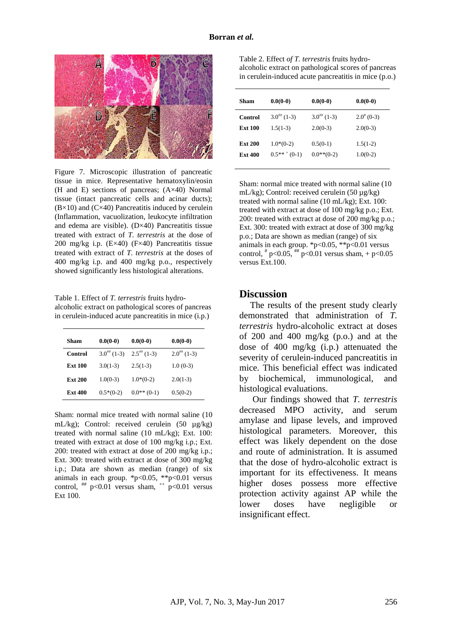

Figure 7. Microscopic illustration of pancreatic tissue in mice. Representative hematoxylin/eosin (H and E) sections of pancreas; (A×40) Normal tissue (intact pancreatic cells and acinar ducts);  $(B \times 10)$  and  $(C \times 40)$  Pancreatitis induced by cerulein (Inflammation, vacuolization, leukocyte infiltration and edema are visible).  $(D \times 40)$  Pancreatitis tissue treated with extract of *T. terrestris* at the dose of 200 mg/kg i.p. (E×40) (F×40) Pancreatitis tissue treated with extract of *T. terrestris* at the doses of 400 mg/kg i.p. and 400 mg/kg p.o., respectively showed significantly less histological alterations.

Table 1. Effect of *T. terrestris* fruits hydroalcoholic extract on pathological scores of pancreas in cerulein-induced acute pancreatitis in mice (i.p.)

| Sham           | $0.0(0-0)$     | $0.0(0-0)$                | $0.0(0-0)$     |
|----------------|----------------|---------------------------|----------------|
| Control        | $3.0^{#}(1-3)$ | $2.5$ <sup>##</sup> (1-3) | $2.0^{#}(1-3)$ |
| <b>Ext 100</b> | $3.0(1-3)$     | $2.5(1-3)$                | $1.0(0-3)$     |
| <b>Ext 200</b> | $1.0(0-3)$     | $1.0*(0-2)$               | $2.0(1-3)$     |
| <b>Ext 400</b> | $0.5*(0-2)$    | $0.0**$ (0-1)             | $0.5(0-2)$     |

Sham: normal mice treated with normal saline (10 mL/kg); Control: received cerulein (50 µg/kg) treated with normal saline (10 mL/kg); Ext. 100: treated with extract at dose of 100 mg/kg i.p.; Ext. 200: treated with extract at dose of 200 mg/kg i.p.; Ext. 300: treated with extract at dose of 300 mg/kg i.p.; Data are shown as median (range) of six animals in each group.  $*p<0.05$ ,  $**p<0.01$  versus control,  $\#$  p<0.01 versus sham,  $\#$  p<0.01 versus Ext 100.

Table 2. Effect *of T. terrestris* fruits hydroalcoholic extract on pathological scores of pancreas in cerulein-induced acute pancreatitis in mice (p.o.)

| Sham           | $0.0(0-0)$       | $0.0(0-0)$     | $0.0(0-0)$     |
|----------------|------------------|----------------|----------------|
| Control        | $3.0^{#}(1-3)$   | $3.0^{#}(1-3)$ | $2.0^{*}(0-3)$ |
| <b>Ext 100</b> | $1.5(1-3)$       | $2.0(0-3)$     | $2.0(0-3)$     |
| <b>Ext 200</b> | $1.0*(0-2)$      | $0.5(0-1)$     | $1.5(1-2)$     |
| <b>Ext 400</b> | $0.5***$ $(0-1)$ | $0.0**$ (0-2)  | $1.0(0-2)$     |

Sham: normal mice treated with normal saline (10 mL/kg); Control: received cerulein (50 µg/kg) treated with normal saline (10 mL/kg); Ext. 100: treated with extract at dose of 100 mg/kg p.o.; Ext. 200: treated with extract at dose of 200 mg/kg p.o.; Ext. 300: treated with extract at dose of 300 mg/kg p.o.; Data are shown as median (range) of six animals in each group. \*p<0.05, \*\*p<0.01 versus control,  $p<0.05$ ,  $p<0.01$  versus sham, + p $<0.05$ versus Ext.100.

### **Discussion**

The results of the present study clearly demonstrated that administration of *T. terrestris* hydro-alcoholic extract at doses of 200 and 400 mg/kg (p.o.) and at the dose of 400 mg/kg (i.p.) attenuated the severity of cerulein-induced pancreatitis in mice. This beneficial effect was indicated by biochemical, immunological, and histological evaluations.

Our findings showed that *T. terrestris* decreased MPO activity, and serum amylase and lipase levels, and improved histological parameters. Moreover, this effect was likely dependent on the dose and route of administration. It is assumed that the dose of hydro-alcoholic extract is important for its effectiveness. It means higher doses possess more effective protection activity against AP while the lower doses have negligible or insignificant effect.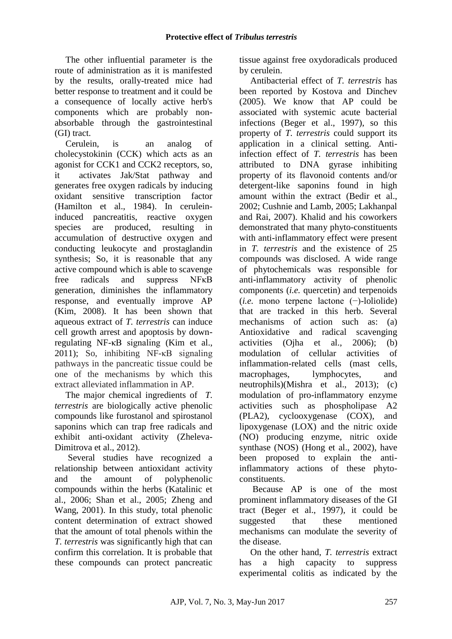The other influential parameter is the route of administration as it is manifested by the results, orally-treated mice had better response to treatment and it could be a consequence of locally active herb's components which are probably nonabsorbable through the gastrointestinal (GI) tract.

Cerulein, is an analog of cholecystokinin (CCK) which acts as an agonist for CCK1 and CCK2 receptors, so, it activates Jak/Stat pathway and generates free oxygen radicals by inducing oxidant sensitive transcription factor (Hamilton et al., 1984). In ceruleininduced pancreatitis, reactive oxygen species are produced, resulting in accumulation of destructive oxygen and conducting leukocyte and prostaglandin synthesis; So, it is reasonable that any active compound which is able to scavenge free radicals and suppress NFκB generation, diminishes the inflammatory response, and eventually improve AP (Kim, 2008). It has been shown that aqueous extract of *T. terrestris* can induce cell growth arrest and apoptosis by downregulating NF-κB signaling (Kim et al., 2011); So, inhibiting NF-κB signaling pathways in the pancreatic tissue could be one of the mechanisms by which this extract alleviated inflammation in AP.

The major [chemical ingredients of](http://www.sciencedirect.com/science/article/pii/S0031942213001453) *T. [terrestris](http://www.sciencedirect.com/science/article/pii/S0031942213001453)* are biologically active phenolic compounds like furostanol and spirostanol saponins which can trap free radicals and exhibit anti-oxidant activity (Zheleva-Dimitrova et al., 2012).

Several studies have recognized a relationship between antioxidant activity and the amount of polyphenolic compounds within the herbs (Katalinic et al., 2006; Shan et al., 2005; Zheng and Wang, 2001). In this study, total phenolic content determination of extract showed that the amount of total phenols within the *T. terrestris* was significantly high that can confirm this correlation. It is probable that these compounds can protect pancreatic tissue against free oxydoradicals produced by cerulein.

Antibacterial effect of *T. terrestris* has been reported by Kostova and Dinchev (2005). We know that AP could be associated with systemic acute bacterial infections (Beger et al., 1997), so this property of *T. terrestris* could support its application in a clinical setting. Antiinfection effect of *T. terrestris* has been attributed to DNA gyrase inhibiting property of its flavonoid contents and/or detergent-like saponins found in high amount within the extract (Bedir et al., 2002; Cushnie and Lamb, 2005; Lakhanpal and Rai, 2007). Khalid and his coworkers demonstrated that many phyto-constituents with anti-inflammatory effect were present in *T. terrestris* and the existence of 25 compounds was disclosed. A wide range of phytochemicals was responsible for anti-inflammatory activity of phenolic components (*i.e.* quercetin) and terpenoids (*i.e.* mono terpene lactone (−)-loliolide) that are tracked in this herb. Several mechanisms of action such as: (a) Antioxidative and radical scavenging activities (Ojha et al., 2006); (b) modulation of cellular activities of inflammation-related cells (mast cells, macrophages, lymphocytes, and neutrophils)(Mishra et al., 2013); (c) modulation of pro-inflammatory enzyme activities such as phospholipase A2 (PLA2), cyclooxygenase (COX), and lipoxygenase (LOX) and the nitric oxide (NO) producing enzyme, nitric oxide synthase (NOS) (Hong et al., 2002), have been proposed to explain the antiinflammatory actions of these phytoconstituents.

Because AP is one of the most prominent inflammatory diseases of the GI tract (Beger et al., 1997), it could be suggested that these mentioned mechanisms can modulate the severity of the disease.

On the other hand, *T. terrestris* extract has a high capacity to suppress experimental colitis as indicated by the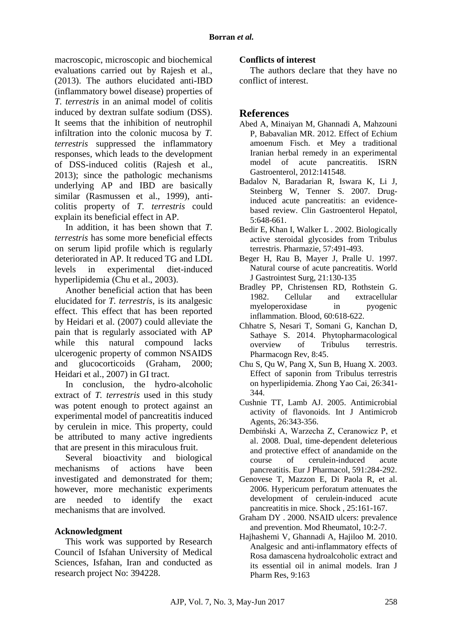macroscopic, microscopic and biochemical evaluations carried out by Rajesh et al., (2013). The authors elucidated anti-IBD (inflammatory bowel disease) properties of *T. terrestris* in an animal model of colitis induced by dextran sulfate sodium (DSS). It seems that the inhibition of neutrophil infiltration into the colonic mucosa by *T. terrestris* suppressed the inflammatory responses, which leads to the development of DSS-induced colitis (Rajesh et al., 2013); since the pathologic mechanisms underlying AP and IBD are basically similar (Rasmussen et al., 1999), anticolitis property of *T. terrestris* could explain its beneficial effect in AP.

In addition, it has been shown that *T. terrestris* has some more beneficial effects on serum lipid profile which is regularly deteriorated in AP. It reduced TG and LDL levels in experimental diet-induced hyperlipidemia (Chu et al., 2003).

Another beneficial action that has been elucidated for *T. terrestris*, is its analgesic effect. This effect that has been reported by Heidari et al. (2007) could alleviate the pain that is regularly associated with AP while this natural compound lacks ulcerogenic property of common NSAIDS and glucocorticoids (Graham, 2000; Heidari et al., 2007) in GI tract.

In conclusion, the hydro-alcoholic extract of *T. terrestris* used in this study was potent enough to protect against an experimental model of pancreatitis induced by cerulein in mice. This property, could be attributed to many active ingredients that are present in this miraculous fruit.

Several bioactivity and biological mechanisms of actions have been investigated and demonstrated for them; however, more mechanistic experiments are needed to identify the exact mechanisms that are involved.

## **Acknowledgment**

This work was supported by Research Council of Isfahan University of Medical Sciences, Isfahan, Iran and conducted as research project No: 394228.

## **Conflicts of interest**

The authors declare that they have no conflict of interest.

## **References**

- Abed A, Minaiyan M, Ghannadi A, Mahzouni P, Babavalian MR. 2012. Effect of Echium amoenum Fisch. et Mey a traditional Iranian herbal remedy in an experimental model of acute pancreatitis. ISRN Gastroenterol, 2012:141548.
- Badalov N, Baradarian R, Iswara K, Li J, Steinberg W, Tenner S. 2007. Druginduced acute pancreatitis: an evidencebased review. Clin Gastroenterol Hepatol, 5:648-661.
- Bedir E, Khan I, Walker L . 2002. Biologically active steroidal glycosides from Tribulus terrestris. Pharmazie, 57:491-493.
- Beger H, Rau B, Mayer J, Pralle U. 1997. Natural course of acute pancreatitis. World J Gastrointest Surg, 21:130-135
- Bradley PP, Christensen RD, Rothstein G. 1982. Cellular and extracellular myeloperoxidase in pyogenic inflammation. Blood, 60:618-622.
- Chhatre S, Nesari T, Somani G, Kanchan D, Sathaye S. 2014. Phytopharmacological overview of Tribulus terrestris. Pharmacogn Rev, 8:45.
- Chu S, Qu W, Pang X, Sun B, Huang X. 2003. Effect of saponin from Tribulus terrestris on hyperlipidemia. Zhong Yao Cai, 26:341- 344.
- Cushnie TT, Lamb AJ. 2005. Antimicrobial activity of flavonoids. Int J Antimicrob Agents, 26:343-356.
- Dembiński A, Warzecha Z, Ceranowicz P, et al. 2008. Dual, time-dependent deleterious and protective effect of anandamide on the course of cerulein-induced acute pancreatitis. Eur J Pharmacol, 591:284-292.
- Genovese T, Mazzon E, Di Paola R, et al. 2006. Hypericum perforatum attenuates the development of cerulein-induced acute pancreatitis in mice. Shock , 25:161-167.
- Graham DY . 2000. NSAID ulcers: prevalence and prevention. Mod Rheumatol, 10:2-7.
- Hajhashemi V, Ghannadi A, Hajiloo M. 2010. Analgesic and anti-inflammatory effects of Rosa damascena hydroalcoholic extract and its essential oil in animal models. Iran J Pharm Res, 9:163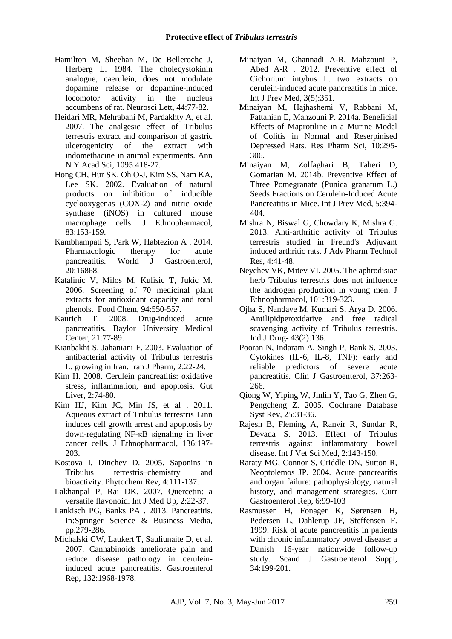- Hamilton M, Sheehan M, De Belleroche J, Herberg L. 1984. The cholecystokinin analogue, caerulein, does not modulate dopamine release or dopamine-induced locomotor activity in the nucleus accumbens of rat. Neurosci Lett, 44:77-82.
- Heidari MR, Mehrabani M, Pardakhty A, et al. 2007. The analgesic effect of Tribulus terrestris extract and comparison of gastric ulcerogenicity of the extract with indomethacine in animal experiments. Ann N Y Acad Sci, 1095:418-27.
- Hong CH, Hur SK, Oh O-J, Kim SS, Nam KA, Lee SK. 2002. Evaluation of natural products on inhibition of inducible cyclooxygenas (COX-2) and nitric oxide synthase (iNOS) in cultured mouse macrophage cells. J Ethnopharmacol, 83:153-159.
- Kambhampati S, Park W, Habtezion A . 2014. Pharmacologic therapy for acute pancreatitis. World J Gastroenterol, 20:16868.
- Katalinic V, Milos M, Kulisic T, Jukic M. 2006. Screening of 70 medicinal plant extracts for antioxidant capacity and total phenols. Food Chem, 94:550-557.
- Kaurich T. 2008. Drug-induced acute pancreatitis. Baylor University Medical Center, 21:77-89.
- Kianbakht S, Jahaniani F. 2003. Evaluation of antibacterial activity of Tribulus terrestris L. growing in Iran. Iran J Pharm, 2:22-24.
- Kim H. 2008. Cerulein pancreatitis: oxidative stress, inflammation, and apoptosis. Gut Liver, 2:74-80.
- Kim HJ, Kim JC, Min JS, et al . 2011. Aqueous extract of Tribulus terrestris Linn induces cell growth arrest and apoptosis by down-regulating NF-κB signaling in liver cancer cells. J Ethnopharmacol, 136:197- 203.
- Kostova I, Dinchev D. 2005. Saponins in Tribulus terrestris–chemistry and bioactivity. Phytochem Rev, 4:111-137.
- Lakhanpal P, Rai DK. 2007. Quercetin: a versatile flavonoid. Int J Med Up, 2:22-37.
- Lankisch PG, Banks PA . 2013. Pancreatitis. In:Springer Science & Business Media, pp.279-286.
- Michalski CW, Laukert T, Sauliunaite D, et al. 2007. Cannabinoids ameliorate pain and reduce disease pathology in ceruleininduced acute pancreatitis. Gastroenterol Rep, 132:1968-1978.
- Minaiyan M, Ghannadi A-R, Mahzouni P, Abed A-R . 2012. Preventive effect of Cichorium intybus L. two extracts on cerulein-induced acute pancreatitis in mice. Int J Prev Med, 3(5):351.
- Minaiyan M, Hajhashemi V, Rabbani M, Fattahian E, Mahzouni P. 2014a. Beneficial Effects of Maprotiline in a Murine Model of Colitis in Normal and Reserpinised Depressed Rats. Res Pharm Sci, 10:295- 306.
- Minaiyan M, Zolfaghari B, Taheri D, Gomarian M. 2014b. Preventive Effect of Three Pomegranate (Punica granatum L.) Seeds Fractions on Cerulein-Induced Acute Pancreatitis in Mice. Int J Prev Med, 5:394- 404.
- Mishra N, Biswal G, Chowdary K, Mishra G. 2013. Anti-arthritic activity of Tribulus terrestris studied in Freund's Adjuvant induced arthritic rats. J Adv Pharm Technol Res, 4:41-48.
- Neychev VK, Mitev VI. 2005. The aphrodisiac herb Tribulus terrestris does not influence the androgen production in young men. J Ethnopharmacol, 101:319-323.
- Ojha S, Nandave M, Kumari S, Arya D. 2006. Antilipidperoxidative and free radical scavenging activity of Tribulus terrestris. Ind J Drug- 43(2):136.
- Pooran N, Indaram A, Singh P, Bank S. 2003. Cytokines (IL-6, IL-8, TNF): early and reliable predictors of severe acute pancreatitis. Clin J Gastroenterol, 37:263- 266.
- Qiong W, Yiping W, Jinlin Y, Tao G, Zhen G, Pengcheng Z. 2005. Cochrane Database Syst Rev, 25:31-36.
- Rajesh B, Fleming A, Ranvir R, Sundar R, Devada S. 2013. Effect of Tribulus terrestris against inflammatory bowel disease. Int J Vet Sci Med, 2:143-150.
- Raraty MG, Connor S, Criddle DN, Sutton R, Neoptolemos JP. 2004. Acute pancreatitis and organ failure: pathophysiology, natural history, and management strategies. Curr Gastroenterol Rep, 6:99-103
- Rasmussen H, Fonager K, Sørensen H, Pedersen L, Dahlerup JF, Steffensen F. 1999. Risk of acute pancreatitis in patients with chronic inflammatory bowel disease: a Danish 16-year nationwide follow-up study. Scand J Gastroenterol Suppl, 34:199-201.